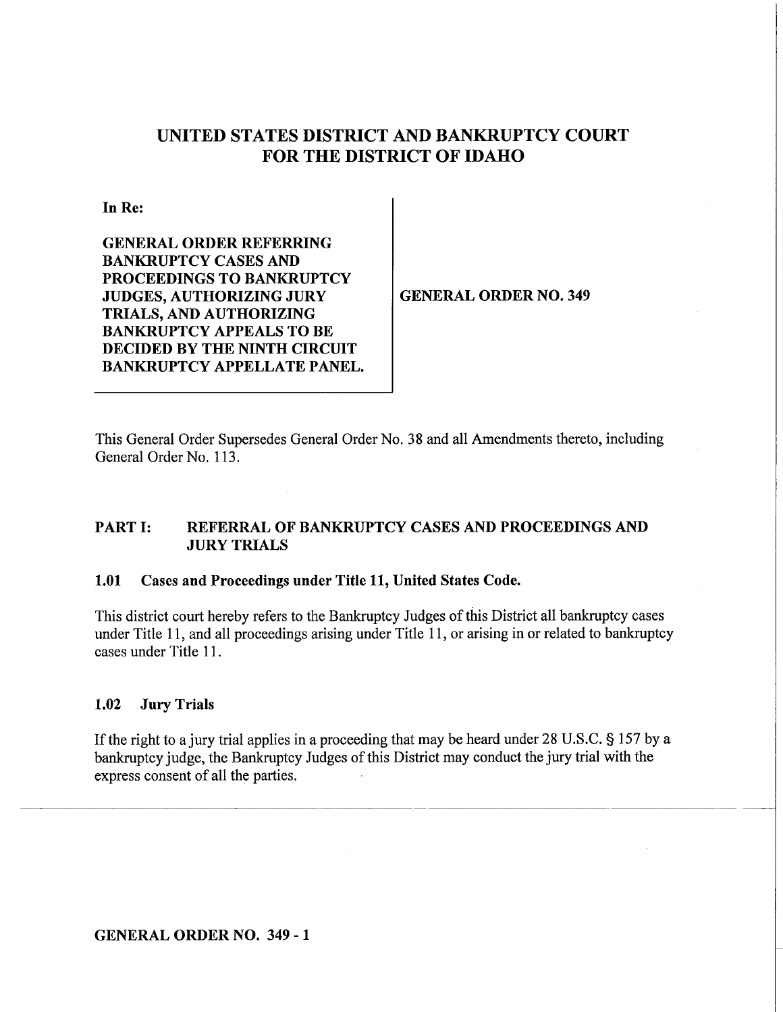# **UNITED STATES DISTRICT AND BANKRUPTCY COURT FOR THE DISTRICT OF IDAHO**

**In Re:** 

**GENERAL ORDER REFERRING BANKRUPTCY CASES AND PROCEEDINGS TO BANKRUPTCY JUDGES, AUTHORIZING JURY TRIALS, AND AUTHORIZING BANKRUPTCY APPEALS TO BE DECIDED BY THE NINTH CIRCUIT BANKRUPTCY APPELLATE PANEL.** 

**GENERAL ORDER NO. 349** 

This General Order Supersedes General Order No. 38 and all Amendments thereto, including General Order No. 113.

#### **PART** I: **REFERRAL OF BANKRUPTCY CASES AND PROCEEDINGS AND JURY TRIALS**

#### **1.01 Cases and Proceedings under Title 11, United States Code.**

This district court hereby refers to the Bankruptcy Judges of this District all bankruptcy cases under Title 11, and all proceedings arising under Title 11, or arising in or related to bankruptcy cases under Title 11.

#### **1.02 Jury Trials**

If the right to a jury trial applies in a proceeding that may be heard under 28 U.S.C. § 157 by a bankruptcy judge, the Bankruptcy Judges of this District may conduct the jury trial with the express consent of all the parties.